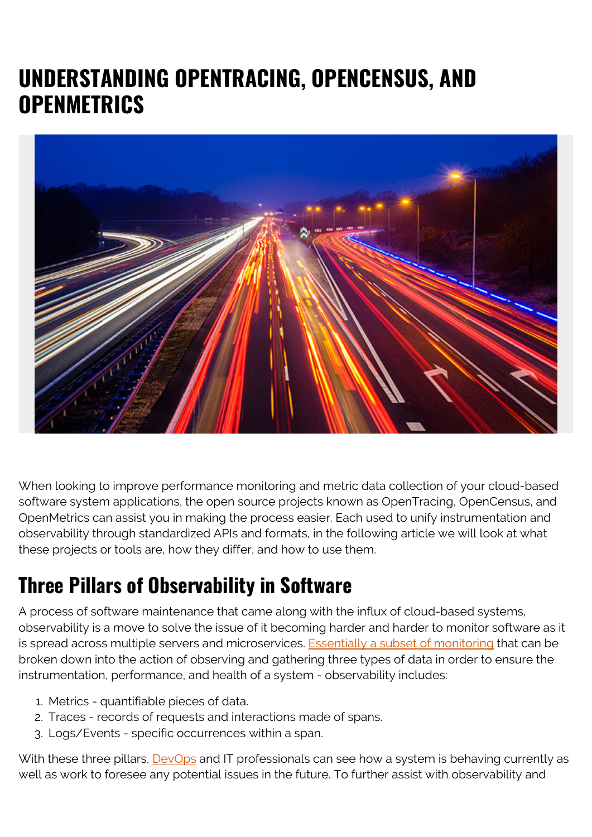# **UNDERSTANDING OPENTRACING, OPENCENSUS, AND OPENMETRICS**



When looking to improve performance monitoring and metric data collection of your cloud-based software system applications, the open source projects known as OpenTracing, OpenCensus, and OpenMetrics can assist you in making the process easier. Each used to unify instrumentation and observability through standardized APIs and formats, in the following article we will look at what these projects or tools are, how they differ, and how to use them.

#### **Three Pillars of Observability in Software**

A process of software maintenance that came along with the influx of cloud-based systems, observability is a move to solve the issue of it becoming harder and harder to monitor software as it is spread across multiple servers and microservices. [Essentially a subset of monitoring](https://blogs.bmc.com/blogs/observability-vs-monitoring/) that can be broken down into the action of observing and gathering three types of data in order to ensure the instrumentation, performance, and health of a system - observability includes:

- 1. Metrics quantifiable pieces of data.
- 2. Traces records of requests and interactions made of spans.
- 3. Logs/Events specific occurrences within a span.

With these three pillars, **DevOps** and IT professionals can see how a system is behaving currently as well as work to foresee any potential issues in the future. To further assist with observability and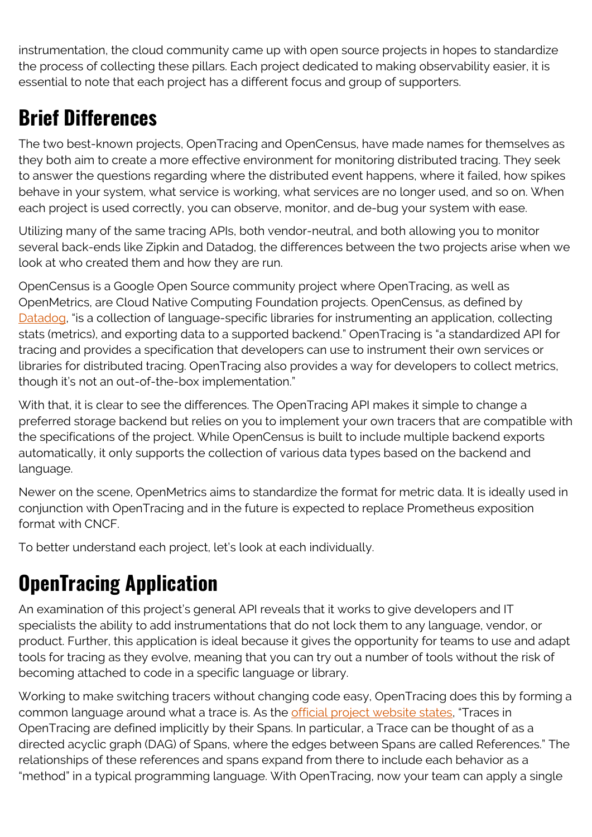instrumentation, the cloud community came up with open source projects in hopes to standardize the process of collecting these pillars. Each project dedicated to making observability easier, it is essential to note that each project has a different focus and group of supporters.

## **Brief Differences**

The two best-known projects, OpenTracing and OpenCensus, have made names for themselves as they both aim to create a more effective environment for monitoring distributed tracing. They seek to answer the questions regarding where the distributed event happens, where it failed, how spikes behave in your system, what service is working, what services are no longer used, and so on. When each project is used correctly, you can observe, monitor, and de-bug your system with ease.

Utilizing many of the same tracing APIs, both vendor-neutral, and both allowing you to monitor several back-ends like Zipkin and Datadog, the differences between the two projects arise when we look at who created them and how they are run.

OpenCensus is a Google Open Source community project where OpenTracing, as well as OpenMetrics, are Cloud Native Computing Foundation projects. OpenCensus, as defined by [Datadog](https://www.datadoghq.com/blog/instrument-opencensus-opentracing-and-openmetrics/), "is a collection of language-specific libraries for instrumenting an application, collecting stats (metrics), and exporting data to a supported backend." OpenTracing is "a standardized API for tracing and provides a specification that developers can use to instrument their own services or libraries for distributed tracing. OpenTracing also provides a way for developers to collect metrics, though it's not an out-of-the-box implementation."

With that, it is clear to see the differences. The OpenTracing API makes it simple to change a preferred storage backend but relies on you to implement your own tracers that are compatible with the specifications of the project. While OpenCensus is built to include multiple backend exports automatically, it only supports the collection of various data types based on the backend and language.

Newer on the scene, OpenMetrics aims to standardize the format for metric data. It is ideally used in conjunction with OpenTracing and in the future is expected to replace Prometheus exposition format with CNCF.

To better understand each project, let's look at each individually.

# **OpenTracing Application**

An examination of this project's general API reveals that it works to give developers and IT specialists the ability to add instrumentations that do not lock them to any language, vendor, or product. Further, this application is ideal because it gives the opportunity for teams to use and adapt tools for tracing as they evolve, meaning that you can try out a number of tools without the risk of becoming attached to code in a specific language or library.

Working to make switching tracers without changing code easy, OpenTracing does this by forming a common language around what a trace is. As the [official project website states](https://opentracing.io/specification/), "Traces in OpenTracing are defined implicitly by their Spans. In particular, a Trace can be thought of as a directed acyclic graph (DAG) of Spans, where the edges between Spans are called References." The relationships of these references and spans expand from there to include each behavior as a "method" in a typical programming language. With OpenTracing, now your team can apply a single